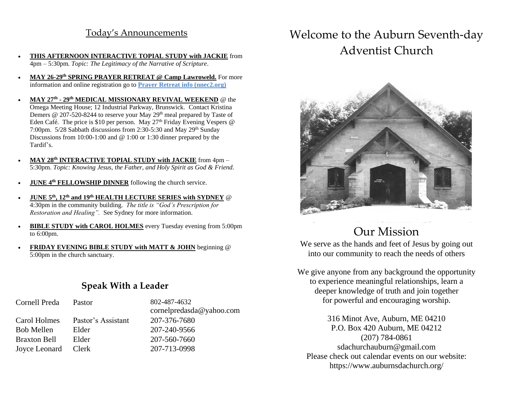## Today's Announcements

- **THIS AFTERNOON INTERACTIVE TOPIAL STUDY with JACKIE** from 4pm – 5:30pm*. Topic: The Legitimacy of the Narrative of Scripture*.
- **MAY 26-29th SPRING PRAYER RETREAT @ Camp Lawroweld.** For more information and online registration go to **Prayer Retreat info (nnec2.org)**
- **MAY 27th - 29th MEDICAL MISSIONARY REVIVAL WEEKEND** @ the Omega Meeting House; 12 Industrial Parkway, Brunswick. Contact Kristina Demers @ 207-520-8244 to reserve your May 29<sup>th</sup> meal prepared by Taste of Eden Café. The price is \$10 per person. May  $27<sup>th</sup>$  Friday Evening Vespers @ 7:00pm.  $5/28$  Sabbath discussions from 2:30-5:30 and May 29<sup>th</sup> Sunday Discussions from 10:00-1:00 and @ 1:00 or 1:30 dinner prepared by the Tardif's.
- **MAY 28th INTERACTIVE TOPIAL STUDY with JACKIE** from 4pm 5:30pm. *Topic: Knowing Jesus, the Father, and Holy Spirit as God & Friend*.
- **JUNE 4th FELLOWSHIP DINNER** following the church service.
- **JUNE 5th, 12th and 19th HEALTH LECTURE SERIES with SYDNEY** @ 4:30pm in the community building. *The title is "God's Prescription for Restoration and Healing".* See Sydney for more information.
- **BIBLE STUDY with CAROL HOLMES** every Tuesday evening from 5:00pm to 6:00pm.
- **FRIDAY EVENING BIBLE STUDY with MATT & JOHN** beginning @ 5:00pm in the church sanctuary.

## **Speak With a Leader**

### Cornell Preda Pastor 802-487-4632

 Carol Holmes Pastor's Assistant 207-376-7680 Bob Mellen Elder 207-240-9566 Braxton Bell Elder 207-560-7660 Joyce Leonard Clerk 207-713-0998

cornelpredasda@yahoo.com

# Welcome to the Auburn Seventh-day Adventist Church



## Our Mission

We serve as the hands and feet of Jesus by going out into our community to reach the needs of others

We give anyone from any background the opportunity to experience meaningful relationships, learn a deeper knowledge of truth and join together for powerful and encouraging worship.

316 Minot Ave, Auburn, ME 04210 P.O. Box 420 Auburn, ME 04212 (207) 784-0861 sdachurchauburn@gmail.com Please check out calendar events on our website: https://www.auburnsdachurch.org/